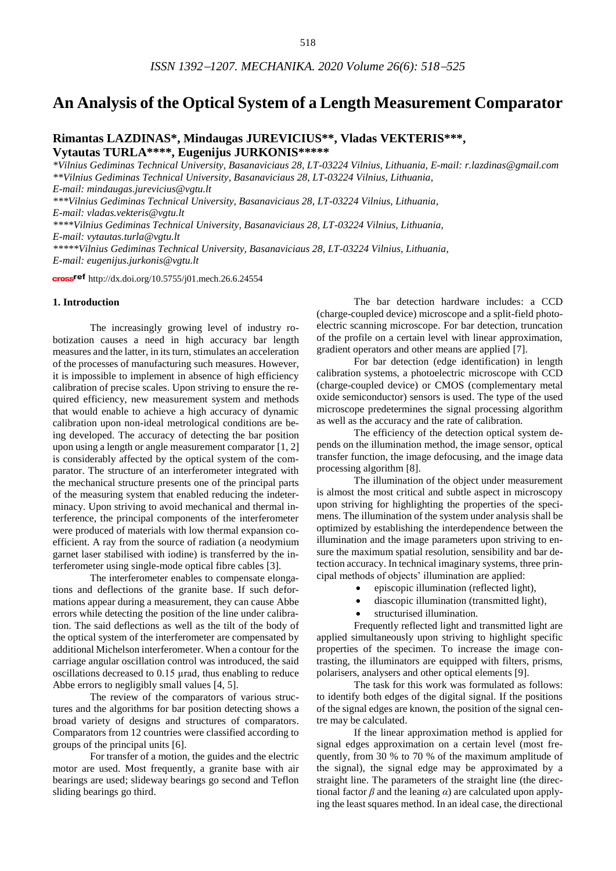# **An Analysis of the Optical System of a Length Measurement Comparator**

# **Rimantas LAZDINAS\*, Mindaugas JUREVICIUS\*\*, Vladas VEKTERIS\*\*\*, Vytautas TURLA\*\*\*\*, Eugenijus JURKONIS\*\*\*\*\***

*\*Vilnius Gediminas Technical University, Basanaviciaus 28, LT-03224 Vilnius, Lithuania, E-mail: [r.lazdinas@gmail.com](mailto:r.lazdinas@gmail.com) \*\*Vilnius Gediminas Technical University, Basanaviciaus 28, LT-03224 Vilnius, Lithuania, E-mail: [mindaugas.jurevicius@vgtu.lt](mailto:mindaugas.jurevicius@vgtu.lt) \*\*\*Vilnius Gediminas Technical University, Basanaviciaus 28, LT-03224 Vilnius, Lithuania, E-mail: [vladas.vekteris@vgtu.lt](mailto:vladas.vekteris@vgtu.lt) \*\*\*\*Vilnius Gediminas Technical University, Basanaviciaus 28, LT-03224 Vilnius, Lithuania, E-mail: [vytautas.turla@vgtu.lt](mailto:vytautas.turla@vgtu.lt) \*\*\*\*\*Vilnius Gediminas Technical University, Basanaviciaus 28, LT-03224 Vilnius, Lithuania*, *E-mail: [eugenijus.jurkonis@vgtu.lt](mailto:eugenijus.jurkonis@vgtu.lt)*

cross<sup>ref</sup> <http://dx.doi.org/10.5755/j01.mech.26.6.24554>

## **1. Introduction**

The increasingly growing level of industry robotization causes a need in high accuracy bar length measures and the latter, in its turn, stimulates an acceleration of the processes of manufacturing such measures. However, it is impossible to implement in absence of high efficiency calibration of precise scales. Upon striving to ensure the required efficiency, new measurement system and methods that would enable to achieve a high accuracy of dynamic calibration upon non-ideal metrological conditions are being developed. The accuracy of detecting the bar position upon using a length or angle measurement comparator [1, 2] is considerably affected by the optical system of the comparator. The structure of an interferometer integrated with the mechanical structure presents one of the principal parts of the measuring system that enabled reducing the indeterminacy. Upon striving to avoid mechanical and thermal interference, the principal components of the interferometer were produced of materials with low thermal expansion coefficient. A ray from the source of radiation (a neodymium garnet laser stabilised with iodine) is transferred by the interferometer using single-mode optical fibre cables [3].

The interferometer enables to compensate elongations and deflections of the granite base. If such deformations appear during a measurement, they can cause Abbe errors while detecting the position of the line under calibration. The said deflections as well as the tilt of the body of the optical system of the interferometer are compensated by additional Michelson interferometer. When a contour for the carriage angular oscillation control was introduced, the said oscillations decreased to 0.15 µrad, thus enabling to reduce Abbe errors to negligibly small values [4, 5].

The review of the comparators of various structures and the algorithms for bar position detecting shows a broad variety of designs and structures of comparators. Comparators from 12 countries were classified according to groups of the principal units [6].

For transfer of a motion, the guides and the electric motor are used. Most frequently, a granite base with air bearings are used; slideway bearings go second and Teflon sliding bearings go third.

The bar detection hardware includes: a CCD (charge-coupled device) microscope and a split-field photoelectric scanning microscope. For bar detection, truncation of the profile on a certain level with linear approximation, gradient operators and other means are applied [7].

For bar detection (edge identification) in length calibration systems, a photoelectric microscope with CCD (charge-coupled device) or CMOS (complementary metal oxide semiconductor) sensors is used. The type of the used microscope predetermines the signal processing algorithm as well as the accuracy and the rate of calibration.

The efficiency of the detection optical system depends on the illumination method, the image sensor, optical transfer function, the image defocusing, and the image data processing algorithm [8].

The illumination of the object under measurement is almost the most critical and subtle aspect in microscopy upon striving for highlighting the properties of the specimens. The illumination of the system under analysis shall be optimized by establishing the interdependence between the illumination and the image parameters upon striving to ensure the maximum spatial resolution, sensibility and bar detection accuracy. In technical imaginary systems, three principal methods of objects' illumination are applied:

- episcopic illumination (reflected light),
- diascopic illumination (transmitted light),
- structurised illumination.

Frequently reflected light and transmitted light are applied simultaneously upon striving to highlight specific properties of the specimen. To increase the image contrasting, the illuminators are equipped with filters, prisms, polarisers, analysers and other optical elements [9].

The task for this work was formulated as follows: to identify both edges of the digital signal. If the positions of the signal edges are known, the position of the signal centre may be calculated.

If the linear approximation method is applied for signal edges approximation on a certain level (most frequently, from 30 % to 70 % of the maximum amplitude of the signal), the signal edge may be approximated by a straight line. The parameters of the straight line (the directional factor  $\beta$  and the leaning  $\alpha$ ) are calculated upon applying the least squares method. In an ideal case, the directional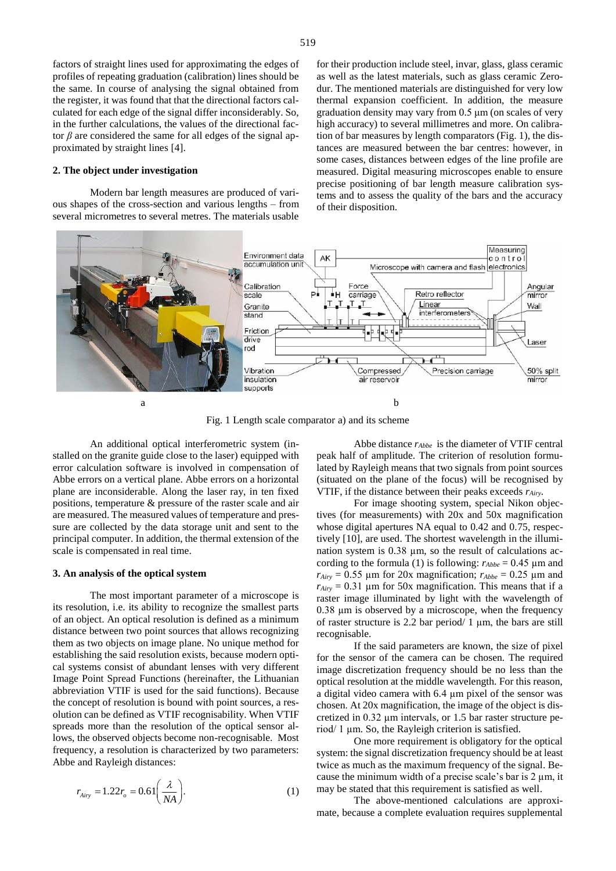factors of straight lines used for approximating the edges of profiles of repeating graduation (calibration) lines should be the same. In course of analysing the signal obtained from the register, it was found that that the directional factors calculated for each edge of the signal differ inconsiderably. So, in the further calculations, the values of the directional factor *β* are considered the same for all edges of the signal approximated by straight lines [4].

#### **2. The object under investigation**

Modern bar length measures are produced of various shapes of the cross-section and various lengths – from several micrometres to several metres. The materials usable for their production include steel, invar, glass, glass ceramic as well as the latest materials, such as glass ceramic Zerodur. The mentioned materials are distinguished for very low thermal expansion coefficient. In addition, the measure graduation density may vary from 0.5 μm (on scales of very high accuracy) to several millimetres and more. On calibration of bar measures by length comparators (Fig. 1), the distances are measured between the bar centres: however, in some cases, distances between edges of the line profile are measured. Digital measuring microscopes enable to ensure precise positioning of bar length measure calibration systems and to assess the quality of the bars and the accuracy of their disposition.



Fig. 1 Length scale comparator a) and its scheme

An additional optical interferometric system (installed on the granite guide close to the laser) equipped with error calculation software is involved in compensation of Abbe errors on a vertical plane. Abbe errors on a horizontal plane are inconsiderable. Along the laser ray, in ten fixed positions, temperature & pressure of the raster scale and air are measured. The measured values of temperature and pressure are collected by the data storage unit and sent to the principal computer. In addition, the thermal extension of the scale is compensated in real time.

#### **3. An analysis of the optical system**

The most important parameter of a microscope is its resolution, i.e. its ability to recognize the smallest parts of an object. An optical resolution is defined as a minimum distance between two point sources that allows recognizing them as two objects on image plane. No unique method for establishing the said resolution exists, because modern optical systems consist of abundant lenses with very different Image Point Spread Functions (hereinafter, the Lithuanian abbreviation VTIF is used for the said functions). Because the concept of resolution is bound with point sources, a resolution can be defined as VTIF recognisability. When VTIF spreads more than the resolution of the optical sensor allows, the observed objects become non-recognisable. Most frequency, a resolution is characterized by two parameters: Abbe and Rayleigh distances:

$$
r_{Airy} = 1.22r_o = 0.61 \left(\frac{\lambda}{NA}\right). \tag{1}
$$

Abbe distance *rAbbe* is the diameter of VTIF central peak half of amplitude. The criterion of resolution formulated by Rayleigh means that two signals from point sources (situated on the plane of the focus) will be recognised by VTIF, if the distance between their peaks exceeds *rAiry*.

For image shooting system, special Nikon objectives (for measurements) with 20x and 50x magnification whose digital apertures NA equal to 0.42 and 0.75, respectively [10], are used. The shortest wavelength in the illumination system is 0.38  $\mu$ m, so the result of calculations according to the formula (1) is following:  $r_{Abbe} = 0.45 \mu m$  and  $r_{Airy} = 0.55$  µm for 20x magnification;  $r_{Abbe} = 0.25$  µm and  $r_{Airy} = 0.31$  µm for 50x magnification. This means that if a raster image illuminated by light with the wavelength of 0.38 µm is observed by a microscope, when the frequency of raster structure is 2.2 bar period/ 1  $\mu$ m, the bars are still recognisable.

If the said parameters are known, the size of pixel for the sensor of the camera can be chosen. The required image discretization frequency should be no less than the optical resolution at the middle wavelength. For this reason, a digital video camera with 6.4 µm pixel of the sensor was chosen. At 20x magnification, the image of the object is discretized in 0.32 µm intervals, or 1.5 bar raster structure period/ 1 µm. So, the Rayleigh criterion is satisfied.

One more requirement is obligatory for the optical system: the signal discretization frequency should be at least twice as much as the maximum frequency of the signal. Because the minimum width of a precise scale's bar is  $2 \mu m$ , it may be stated that this requirement is satisfied as well.

The above-mentioned calculations are approximate, because a complete evaluation requires supplemental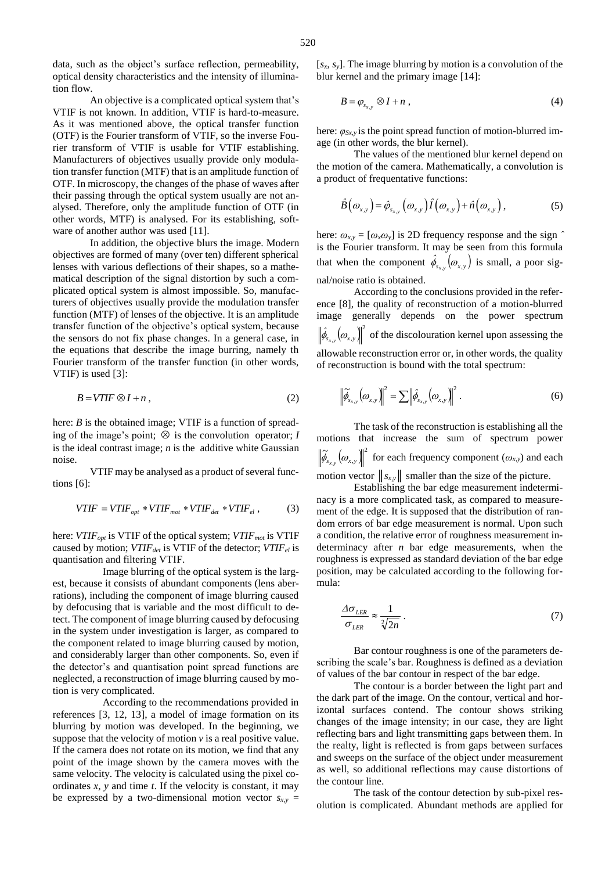data, such as the object's surface reflection, permeability, optical density characteristics and the intensity of illumination flow.

An objective is a complicated optical system that's VTIF is not known. In addition, VTIF is hard-to-measure. As it was mentioned above, the optical transfer function (OTF) is the Fourier transform of VTIF, so the inverse Fourier transform of VTIF is usable for VTIF establishing. Manufacturers of objectives usually provide only modulation transfer function (MTF) that is an amplitude function of OTF. In microscopy, the changes of the phase of waves after their passing through the optical system usually are not analysed. Therefore, only the amplitude function of OTF (in other words, MTF) is analysed. For its establishing, software of another author was used [11].

In addition, the objective blurs the image. Modern objectives are formed of many (over ten) different spherical lenses with various deflections of their shapes, so a mathematical description of the signal distortion by such a complicated optical system is almost impossible. So, manufacturers of objectives usually provide the modulation transfer function (MTF) of lenses of the objective. It is an amplitude transfer function of the objective's optical system, because the sensors do not fix phase changes. In a general case, in the equations that describe the image burring, namely th Fourier transform of the transfer function (in other words, VTIF) is used [3]:

$$
B = VTIF \otimes I + n \,, \tag{2}
$$

here: *B* is the obtained image; VTIF is a function of spreading of the image's point;  $\otimes$  is the convolution operator; *I* is the ideal contrast image; *n* is the additive white Gaussian noise.

VTIF may be analysed as a product of several functions [6]:

$$
VTIF = VTIF_{opt} * VTIF_{mot} * VTIF_{det} * VTIF_{el} ,
$$
 (3)

here: *VTIFopt* is VTIF of the optical system; *VTIFmo*<sup>t</sup> is VTIF caused by motion; *VTIFdet* is VTIF of the detector; *VTIFel* is quantisation and filtering VTIF.

Image blurring of the optical system is the largest, because it consists of abundant components (lens aberrations), including the component of image blurring caused by defocusing that is variable and the most difficult to detect. The component of image blurring caused by defocusing in the system under investigation is larger, as compared to the component related to image blurring caused by motion, and considerably larger than other components. So, even if the detector's and quantisation point spread functions are neglected, a reconstruction of image blurring caused by motion is very complicated.

According to the recommendations provided in references [3, 12, 13], a model of image formation on its blurring by motion was developed. In the beginning, we suppose that the velocity of motion  $v$  is a real positive value. If the camera does not rotate on its motion, we find that any point of the image shown by the camera moves with the same velocity. The velocity is calculated using the pixel coordinates *x, y* and time *t*. If the velocity is constant, it may be expressed by a two-dimensional motion vector  $s_{xy}$  =

$$
B = \varphi_{s_{x,y}} \otimes I + n \tag{4}
$$

here: *φSx,y* is the point spread function of motion-blurred image (in other words, the blur kernel).

The values of the mentioned blur kernel depend on the motion of the camera. Mathematically, a convolution is a product of frequentative functions:

$$
\hat{B}(\omega_{x,y}) = \hat{\varphi}_{s_{x,y}}(\omega_{x,y}) \hat{I}(\omega_{x,y}) + \hat{n}(\omega_{x,y}), \qquad (5)
$$

here:  $\omega_{x,y} = [\omega_x \omega_y]$  is 2D frequency response and the sign  $\hat{ }$ is the Fourier transform. It may be seen from this formula that when the component  $\hat{\phi}_{s_{x,y}}(\omega_{x,y})$  is small, a poor signal/noise ratio is obtained.

According to the conclusions provided in the reference [8], the quality of reconstruction of a motion-blurred image generally depends on the power spectrum  $\left(\omega_{_{\boldsymbol{x},\boldsymbol{y}}}\right)\hspace{-0.12cm}\left\vert \right.^{\scriptscriptstyle 2}$  $\left| \hat{\phi}_{s_{x,y}} \left( \omega_{x,y} \right) \right|$ <sup>2</sup> of the discolouration kernel upon assessing the allowable reconstruction error or, in other words, the quality of reconstruction is bound with the total spectrum:

$$
\left\| \widetilde{\phi}_{s_{x,y}} \left( \omega_{x,y} \right) \right\|^2 = \sum \left\| \widehat{\phi}_{s_{x,y}} \left( \omega_{x,y} \right) \right\|^2. \tag{6}
$$

The task of the reconstruction is establishing all the motions that increase the sum of spectrum power  $\left(\omega_{_{\scriptscriptstyle X,\,\mathcal{Y}}}\right)\!\!\big\|^2$  $s_{x,y}$   $\vee$  *x*,*y*  $\left| \widetilde{\phi}_{s} \right| \left( \omega_{x,y} \right) \right|^{2}$  for each frequency component  $(\omega_{x,y})$  and each motion vector  $||s_{x,y}||$  smaller than the size of the picture.

Establishing the bar edge measurement indeterminacy is a more complicated task, as compared to measurement of the edge. It is supposed that the distribution of random errors of bar edge measurement is normal. Upon such a condition, the relative error of roughness measurement indeterminacy after *n* bar edge measurements, when the roughness is expressed as standard deviation of the bar edge position, may be calculated according to the following formula:

$$
\frac{\Delta \sigma_{LER}}{\sigma_{LER}} \approx \frac{1}{\sqrt[2]{2n}} \,. \tag{7}
$$

Bar contour roughness is one of the parameters describing the scale's bar. Roughness is defined as a deviation of values of the bar contour in respect of the bar edge.

The contour is a border between the light part and the dark part of the image. On the contour, vertical and horizontal surfaces contend. The contour shows striking changes of the image intensity; in our case, they are light reflecting bars and light transmitting gaps between them. In the realty, light is reflected is from gaps between surfaces and sweeps on the surface of the object under measurement as well, so additional reflections may cause distortions of the contour line.

The task of the contour detection by sub-pixel resolution is complicated. Abundant methods are applied for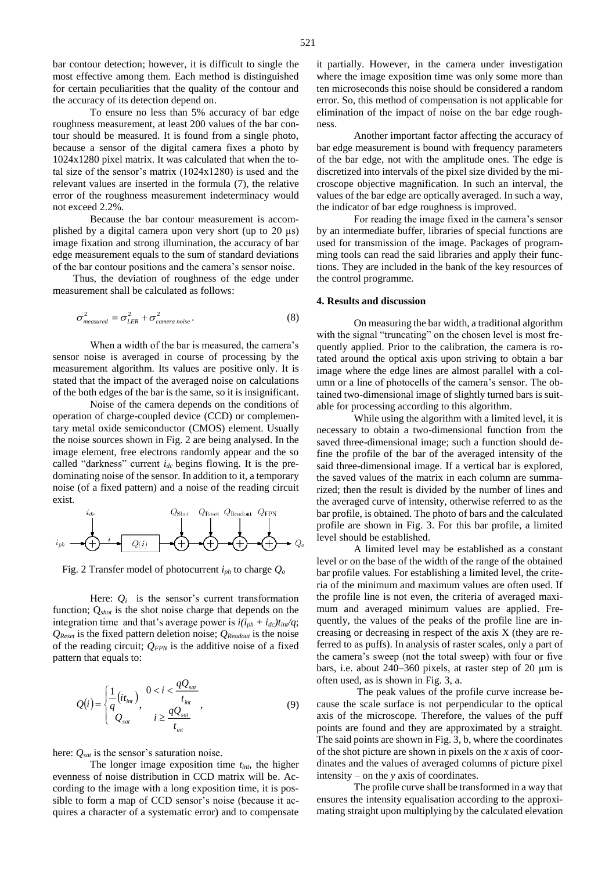bar contour detection; however, it is difficult to single the most effective among them. Each method is distinguished for certain peculiarities that the quality of the contour and the accuracy of its detection depend on.

To ensure no less than 5% accuracy of bar edge roughness measurement, at least 200 values of the bar contour should be measured. It is found from a single photo, because a sensor of the digital camera fixes a photo by 1024x1280 pixel matrix. It was calculated that when the total size of the sensor's matrix (1024x1280) is used and the relevant values are inserted in the formula (7), the relative error of the roughness measurement indeterminacy would not exceed 2.2%.

Because the bar contour measurement is accomplished by a digital camera upon very short (up to 20 µs) image fixation and strong illumination, the accuracy of bar edge measurement equals to the sum of standard deviations of the bar contour positions and the camera's sensor noise.

Thus, the deviation of roughness of the edge under measurement shall be calculated as follows:

$$
\sigma_{measured}^2 = \sigma_{LER}^2 + \sigma_{camera\ noise}^2.
$$
 (8)

When a width of the bar is measured, the camera's sensor noise is averaged in course of processing by the measurement algorithm. Its values are positive only. It is stated that the impact of the averaged noise on calculations of the both edges of the bar is the same, so it is insignificant.

Noise of the camera depends on the conditions of operation of charge-coupled device (CCD) or complementary metal oxide semiconductor (CMOS) element. Usually the noise sources shown in Fig. 2 are being analysed. In the image element, free electrons randomly appear and the so called "darkness" current *idc* begins flowing. It is the predominating noise of the sensor. In addition to it, a temporary noise (of a fixed pattern) and a noise of the reading circuit exist.

$$
i_{gh} \longrightarrow \left(\begin{array}{c}\n i_{de} \\
\downarrow \\
i_{ph} \\
\downarrow \\
\end{array}\right) \longrightarrow \left(\begin{array}{c}\n Q_{\text{Block}} & Q_{\text{Reachut}} & Q_{\text{FPN}} \\
\downarrow \\
Q(i) & \downarrow \\
\end{array}\right) \longrightarrow \left(\begin{array}{c}\n \downarrow \\
\downarrow \\
\downarrow \\
\end{array}\right) \longrightarrow Q_{\text{co}} \longrightarrow Q_{\text{C}} \longrightarrow Q_{\text{C}} \longrightarrow Q_{\text{C}} \longrightarrow Q_{\text{C}} \longrightarrow Q_{\text{C}} \longrightarrow Q_{\text{C}} \longrightarrow Q_{\text{C}} \longrightarrow Q_{\text{C}} \longrightarrow Q_{\text{C}} \longrightarrow Q_{\text{C}} \longrightarrow Q_{\text{C}} \longrightarrow Q_{\text{C}} \longrightarrow Q_{\text{C}} \longrightarrow Q_{\text{C}} \longrightarrow Q_{\text{C}} \longrightarrow Q_{\text{C}} \longrightarrow Q_{\text{C}} \longrightarrow Q_{\text{C}} \longrightarrow Q_{\text{C}} \longrightarrow Q_{\text{C}} \longrightarrow Q_{\text{C}} \longrightarrow Q_{\text{C}} \longrightarrow Q_{\text{C}} \longrightarrow Q_{\text{C}} \longrightarrow Q_{\text{C}} \longrightarrow Q_{\text{C}} \longrightarrow Q_{\text{C}} \longrightarrow Q_{\text{C}} \longrightarrow Q_{\text{C}} \longrightarrow Q_{\text{C}} \longrightarrow Q_{\text{C}} \longrightarrow Q_{\text{C}} \longrightarrow Q_{\text{C}} \longrightarrow Q_{\text{C}} \longrightarrow Q_{\text{C}} \longrightarrow Q_{\text{C}} \longrightarrow Q_{\text{C}} \longrightarrow Q_{\text{C}} \longrightarrow Q_{\text{C}} \longrightarrow Q_{\text{C}} \longrightarrow Q_{\text{C}} \longrightarrow Q_{\text{C}} \longrightarrow Q_{\text{C}} \longrightarrow Q_{\text{C}} \longrightarrow Q_{\text{C}} \longrightarrow Q_{\text{C}} \longrightarrow Q_{\text{C}} \longrightarrow Q_{\text{C}} \longrightarrow Q_{\text{C}} \longrightarrow Q_{\text{C}} \longrightarrow Q_{\text{C}} \longrightarrow Q_{\text{C}} \longrightarrow Q_{\text{C}} \longrightarrow Q_{\text{C}} \longrightarrow Q_{\text{C}} \longrightarrow Q_{\text{C}} \longrightarrow Q_{\text{C}} \longrightarrow Q_{\text{C}} \longrightarrow Q_{\text{C}} \longrightarrow Q_{\text{C}} \longrightarrow Q_{\text{C}} \longrightarrow Q_{\text{C}} \longrightarrow Q_{\text{C}} \longrightarrow Q_{\text{C}} \longrightarrow Q_{\text{C}} \longrightarrow Q_{\text{C}} \longrightarrow Q_{\text{C}} \longrightarrow Q_{\text{C}} \longrightarrow
$$

Fig. 2 Transfer model of photocurrent *iph* to charge *Q<sup>o</sup>*

Here:  $Q_i$  is the sensor's current transformation function; Q*shot* is the shot noise charge that depends on the integration time and that's average power is  $i(i_{ph} + i_{dc})t_{in}/q$ ; *QReset* is the fixed pattern deletion noise; *QReadout* is the noise of the reading circuit; *QFPN* is the additive noise of a fixed pattern that equals to:

$$
Q(i) = \begin{cases} \frac{1}{q}(it_{int}) & 0 < i < \frac{qQ_{sat}}{t_{int}} \\ Q_{sat} & i \ge \frac{qQ_{sat}}{t_{int}} \end{cases}
$$
 (9)

here: *Qsat* is the sensor's saturation noise.

The longer image exposition time *tint*, the higher evenness of noise distribution in CCD matrix will be. According to the image with a long exposition time, it is possible to form a map of CCD sensor's noise (because it acquires a character of a systematic error) and to compensate

Another important factor affecting the accuracy of bar edge measurement is bound with frequency parameters of the bar edge, not with the amplitude ones. The edge is discretized into intervals of the pixel size divided by the microscope objective magnification. In such an interval, the values of the bar edge are optically averaged. In such a way, the indicator of bar edge roughness is improved.

For reading the image fixed in the camera's sensor by an intermediate buffer, libraries of special functions are used for transmission of the image. Packages of programming tools can read the said libraries and apply their functions. They are included in the bank of the key resources of the control programme.

### **4. Results and discussion**

On measuring the bar width, a traditional algorithm with the signal "truncating" on the chosen level is most frequently applied. Prior to the calibration, the camera is rotated around the optical axis upon striving to obtain a bar image where the edge lines are almost parallel with a column or a line of photocells of the camera's sensor. The obtained two-dimensional image of slightly turned bars is suitable for processing according to this algorithm.

While using the algorithm with a limited level, it is necessary to obtain a two-dimensional function from the saved three-dimensional image; such a function should define the profile of the bar of the averaged intensity of the said three-dimensional image. If a vertical bar is explored, the saved values of the matrix in each column are summarized; then the result is divided by the number of lines and the averaged curve of intensity, otherwise referred to as the bar profile, is obtained. The photo of bars and the calculated profile are shown in Fig. 3. For this bar profile, a limited level should be established.

A limited level may be established as a constant level or on the base of the width of the range of the obtained bar profile values. For establishing a limited level, the criteria of the minimum and maximum values are often used. If the profile line is not even, the criteria of averaged maximum and averaged minimum values are applied. Frequently, the values of the peaks of the profile line are increasing or decreasing in respect of the axis X (they are referred to as puffs). In analysis of raster scales, only a part of the camera's sweep (not the total sweep) with four or five bars, i.e. about 240–360 pixels, at raster step of 20 µm is often used, as is shown in Fig. 3, a.

The peak values of the profile curve increase because the scale surface is not perpendicular to the optical axis of the microscope. Therefore, the values of the puff points are found and they are approximated by a straight. The said points are shown in Fig. 3, b, where the coordinates of the shot picture are shown in pixels on the *x* axis of coordinates and the values of averaged columns of picture pixel intensity – on the *y* axis of coordinates.

The profile curve shall be transformed in a way that ensures the intensity equalisation according to the approximating straight upon multiplying by the calculated elevation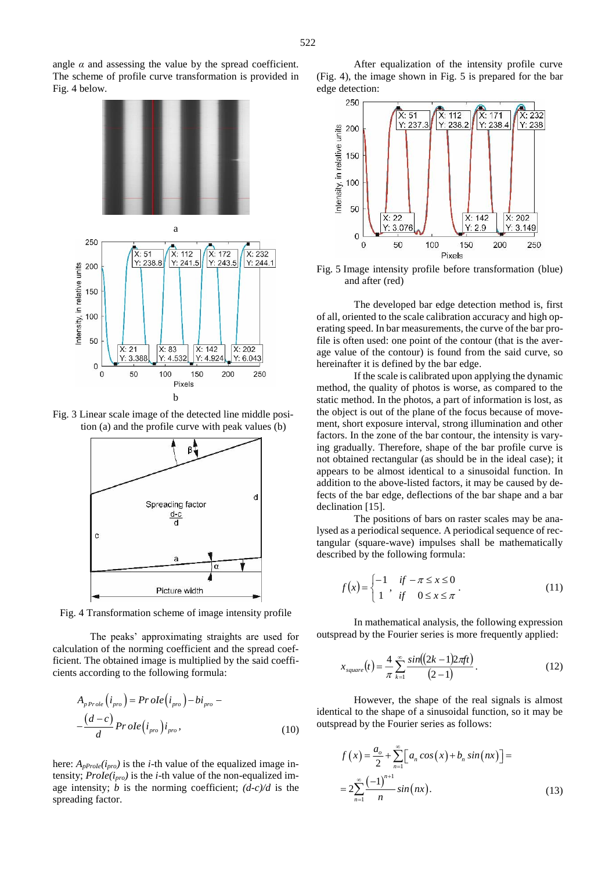angle  $\alpha$  and assessing the value by the spread coefficient. The scheme of profile curve transformation is provided in Fig. 4 below.



Fig. 3 Linear scale image of the detected line middle position (a) and the profile curve with peak values (b)



Fig. 4 Transformation scheme of image intensity profile

The peaks' approximating straights are used for calculation of the norming coefficient and the spread coefficient. The obtained image is multiplied by the said coefficients according to the following formula:

$$
A_{p\,Prole}\left(i_{pro}\right) = Prole\left(i_{pro}\right) - bi_{pro} - \frac{(d-c)}{d} Prole\left(i_{pro}\right)i_{pro},\tag{10}
$$

here:  $A_{pProle}(i_{pro})$  is the *i*-th value of the equalized image intensity; *ProIe(ipro)* is the *i*-th value of the non-equalized image intensity;  $\dot{b}$  is the norming coefficient;  $(d-c)/d$  is the spreading factor.





Fig. 5 Image intensity profile before transformation (blue) and after (red)

The developed bar edge detection method is, first of all, oriented to the scale calibration accuracy and high operating speed. In bar measurements, the curve of the bar profile is often used: one point of the contour (that is the average value of the contour) is found from the said curve, so hereinafter it is defined by the bar edge.

If the scale is calibrated upon applying the dynamic method, the quality of photos is worse, as compared to the static method. In the photos, a part of information is lost, as the object is out of the plane of the focus because of movement, short exposure interval, strong illumination and other factors. In the zone of the bar contour, the intensity is varying gradually. Therefore, shape of the bar profile curve is not obtained rectangular (as should be in the ideal case); it appears to be almost identical to a sinusoidal function. In addition to the above-listed factors, it may be caused by defects of the bar edge, deflections of the bar shape and a bar declination [15].

The positions of bars on raster scales may be analysed as a periodical sequence. A periodical sequence of rectangular (square-wave) impulses shall be mathematically described by the following formula:

$$
f(x) = \begin{cases} -1 & \text{if } -\pi \le x \le 0 \\ 1 & \text{if } 0 \le x \le \pi \end{cases} . \tag{11}
$$

In mathematical analysis, the following expression outspread by the Fourier series is more frequently applied:

$$
x_{square}(t) = \frac{4}{\pi} \sum_{k=1}^{\infty} \frac{\sin((2k-1)2\pi ft)}{(2-1)}.
$$
 (12)

However, the shape of the real signals is almost identical to the shape of a sinusoidal function, so it may be outspread by the Fourier series as follows:

$$
f(x) = \frac{a_o}{2} + \sum_{n=1}^{\infty} \left[ a_n \cos(x) + b_n \sin(nx) \right] =
$$
  
= 
$$
2 \sum_{n=1}^{\infty} \frac{(-1)^{n+1}}{n} \sin(nx).
$$
 (13)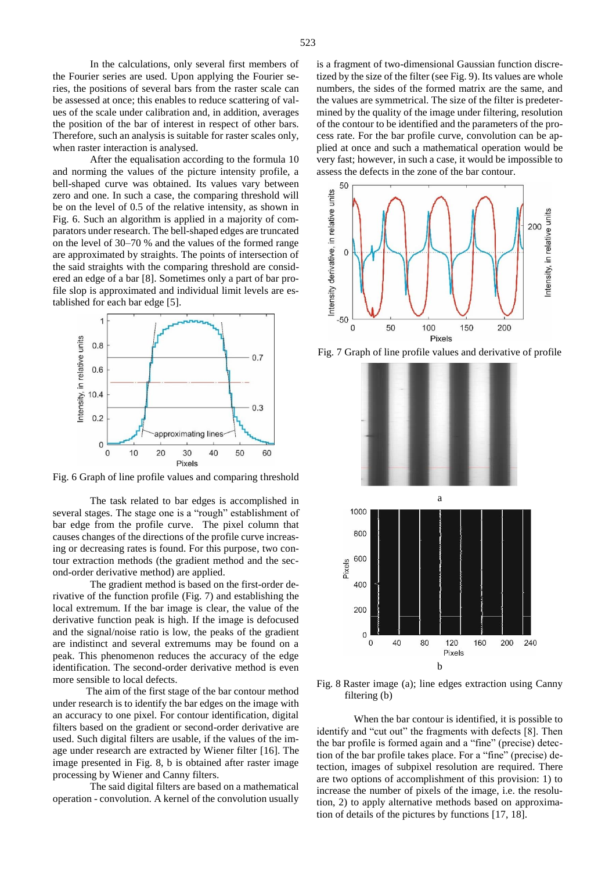In the calculations, only several first members of the Fourier series are used. Upon applying the Fourier series, the positions of several bars from the raster scale can be assessed at once; this enables to reduce scattering of values of the scale under calibration and, in addition, averages the position of the bar of interest in respect of other bars. Therefore, such an analysis is suitable for raster scales only, when raster interaction is analysed.

After the equalisation according to the formula 10 and norming the values of the picture intensity profile, a bell-shaped curve was obtained. Its values vary between zero and one. In such a case, the comparing threshold will be on the level of 0.5 of the relative intensity, as shown in Fig. 6. Such an algorithm is applied in a majority of comparators under research. The bell-shaped edges are truncated on the level of 30–70 % and the values of the formed range are approximated by straights. The points of intersection of the said straights with the comparing threshold are considered an edge of a bar [8]. Sometimes only a part of bar profile slop is approximated and individual limit levels are established for each bar edge [5].



Fig. 6 Graph of line profile values and comparing threshold

The task related to bar edges is accomplished in several stages. The stage one is a "rough" establishment of bar edge from the profile curve. The pixel column that causes changes of the directions of the profile curve increasing or decreasing rates is found. For this purpose, two contour extraction methods (the gradient method and the second-order derivative method) are applied.

The gradient method is based on the first-order derivative of the function profile (Fig. 7) and establishing the local extremum. If the bar image is clear, the value of the derivative function peak is high. If the image is defocused and the signal/noise ratio is low, the peaks of the gradient are indistinct and several extremums may be found on a peak. This phenomenon reduces the accuracy of the edge identification. The second-order derivative method is even more sensible to local defects.

The aim of the first stage of the bar contour method under research is to identify the bar edges on the image with an accuracy to one pixel. For contour identification, digital filters based on the gradient or second-order derivative are used. Such digital filters are usable, if the values of the image under research are extracted by Wiener filter [16]. The image presented in Fig. 8, b is obtained after raster image processing by Wiener and Canny filters.

The said digital filters are based on a mathematical operation - convolution. A kernel of the convolution usually

is a fragment of two-dimensional Gaussian function discretized by the size of the filter (see Fig. 9). Its values are whole numbers, the sides of the formed matrix are the same, and the values are symmetrical. The size of the filter is predetermined by the quality of the image under filtering, resolution of the contour to be identified and the parameters of the process rate. For the bar profile curve, convolution can be applied at once and such a mathematical operation would be very fast; however, in such a case, it would be impossible to assess the defects in the zone of the bar contour.



Fig. 7 Graph of line profile values and derivative of profile



Fig. 8 Raster image (a); line edges extraction using Canny filtering (b)

When the bar contour is identified, it is possible to identify and "cut out" the fragments with defects [8]. Then the bar profile is formed again and a "fine" (precise) detection of the bar profile takes place. For a "fine" (precise) detection, images of subpixel resolution are required. There are two options of accomplishment of this provision: 1) to increase the number of pixels of the image, i.e. the resolution, 2) to apply alternative methods based on approximation of details of the pictures by functions [17, 18].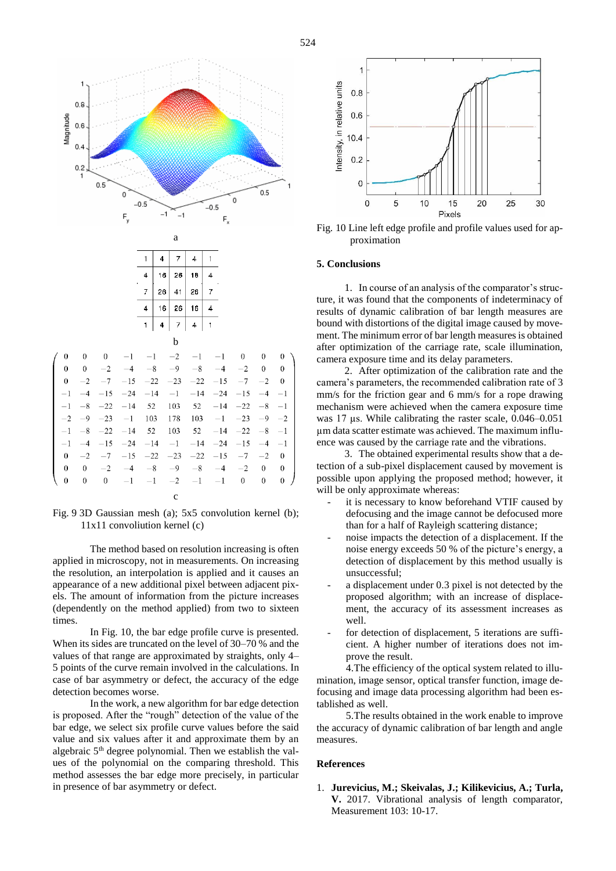



The method based on resolution increasing is often applied in microscopy, not in measurements. On increasing the resolution, an interpolation is applied and it causes an appearance of a new additional pixel between adjacent pixels. The amount of information from the picture increases (dependently on the method applied) from two to sixteen times.

In Fig. 10, the bar edge profile curve is presented. When its sides are truncated on the level of 30–70 % and the values of that range are approximated by straights, only 4– 5 points of the curve remain involved in the calculations. In case of bar asymmetry or defect, the accuracy of the edge detection becomes worse.

In the work, a new algorithm for bar edge detection is proposed. After the "rough" detection of the value of the bar edge, we select six profile curve values before the said value and six values after it and approximate them by an algebraic 5th degree polynomial. Then we establish the values of the polynomial on the comparing threshold. This method assesses the bar edge more precisely, in particular in presence of bar asymmetry or defect.



Fig. 10 Line left edge profile and profile values used for approximation

#### **5. Conclusions**

1. In course of an analysis of the comparator's structure, it was found that the components of indeterminacy of results of dynamic calibration of bar length measures are bound with distortions of the digital image caused by movement. The minimum error of bar length measures is obtained after optimization of the carriage rate, scale illumination, camera exposure time and its delay parameters.

2. After optimization of the calibration rate and the camera's parameters, the recommended calibration rate of 3 mm/s for the friction gear and 6 mm/s for a rope drawing mechanism were achieved when the camera exposure time was 17 µs. While calibrating the raster scale, 0.046–0.051 µm data scatter estimate was achieved. The maximum influence was caused by the carriage rate and the vibrations.

3. The obtained experimental results show that a detection of a sub-pixel displacement caused by movement is possible upon applying the proposed method; however, it will be only approximate whereas:

- it is necessary to know beforehand VTIF caused by defocusing and the image cannot be defocused more than for a half of Rayleigh scattering distance;
- noise impacts the detection of a displacement. If the noise energy exceeds 50 % of the picture's energy, a detection of displacement by this method usually is unsuccessful;
- a displacement under 0.3 pixel is not detected by the proposed algorithm; with an increase of displacement, the accuracy of its assessment increases as well.
- for detection of displacement, 5 iterations are sufficient. A higher number of iterations does not improve the result.

4.The efficiency of the optical system related to illumination, image sensor, optical transfer function, image defocusing and image data processing algorithm had been established as well.

5.The results obtained in the work enable to improve the accuracy of dynamic calibration of bar length and angle measures.

### **References**

1. **Jurevicius, M.; Skeivalas, J.; Kilikevicius, A.; Turla, V.** 2017. Vibrational analysis of length comparator, Measurement 103: 10-17.